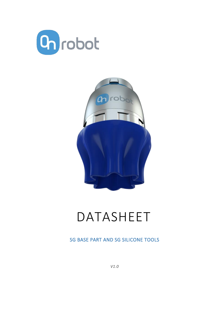



# DATASHEET

SG BASE PART AND SG SILICONE TOOLS

*V1.0*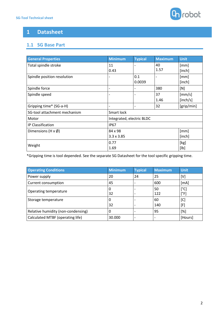

## **1 Datasheet**

## **1.1 SG Base Part**

| <b>General Properties</b>          | <b>Minimum</b>            | <b>Typical</b> | <b>Maximum</b> | <b>Unit</b> |  |
|------------------------------------|---------------------------|----------------|----------------|-------------|--|
| Total spindle stroke               | 11                        |                | 40             | [mm]        |  |
|                                    | 0.43                      |                | 1.57           | [inch]      |  |
| Spindle position resolution        |                           | 0.1            |                | [mm]        |  |
|                                    |                           | 0.0039         |                | [inch]      |  |
| Spindle force                      |                           |                | 380            | [N]         |  |
| Spindle speed                      |                           |                | 37             | [mm/s]      |  |
|                                    |                           |                | 1.46           | [inch/s]    |  |
| Gripping time* (SG-a-H)            |                           |                | 32             | [grip/min]  |  |
| SG-tool attachment mechanism       | Smart lock                |                |                |             |  |
| Motor                              | Integrated, electric BLDC |                |                |             |  |
| IP Classification                  | <b>IP67</b>               |                |                |             |  |
| Dimensions (H $\times \emptyset$ ) | 84 x 98                   |                |                | [mm]        |  |
|                                    | $3.3 \times 3.85$         |                |                | [inch]      |  |
| Weight                             | 0.77                      |                |                | [kg]        |  |
|                                    | 1.69                      |                |                | [1b]        |  |

\*Gripping time is tool depended. See the separate SG Datasheet for the tool specific gripping time.

| <b>Operating Conditions</b>        | <b>Minimum</b> | <b>Typical</b> | <b>Maximum</b> | <b>Unit</b>           |
|------------------------------------|----------------|----------------|----------------|-----------------------|
| Power supply                       | 20             | 24             | 25             | [V]                   |
| Current consumption                | 45             |                | 600            | [mA]                  |
| Operating temperature              | 32             |                | 50<br>122      | $[^{\circ}C]$<br>[°F] |
| Storage temperature                | 32             |                | 60<br>140      | [C]<br>[F]            |
| Relative humidity (non-condensing) | O              |                | 95             | [%]                   |
| Calculated MTBF (operating life)   | 30.000         |                |                | [Hours]               |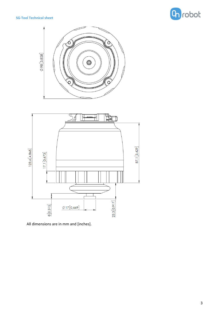#### **SG-Tool Technical sheet**







All dimensions are in mm and [inches].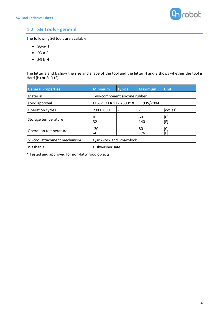

## **1.2 SG Tools - general**

The following SG tools are available:

- SG-a-H
- SG-a-S
- SG-b-H

The letter a and b show the size and shape of the tool and the letter H and S shows whether the tool is Hard (H) or Soft (S)

| <b>General Properties</b>    | <b>Minimum</b>                      | <b>Typical</b>           | <b>Maximum</b> | <b>Unit</b> |  |
|------------------------------|-------------------------------------|--------------------------|----------------|-------------|--|
| Material                     | Two-component silicone rubber       |                          |                |             |  |
| Food approval                | FDA 21 CFR 177.2600* & EC 1935/2004 |                          |                |             |  |
| Operation cycles             | 2.000.000                           | $\overline{\phantom{a}}$ |                | [cycles]    |  |
| Storage temperature          | 0<br>32                             |                          | 60<br>140      | [C]<br>[F]  |  |
| Operation temperature        | $-20$<br>-4                         |                          | 80<br>176      | [C]<br>[F]  |  |
| SG-tool attachment mechanism | <b>Quick-lock and Smart-lock</b>    |                          |                |             |  |
| Washable                     | Dishwasher safe                     |                          |                |             |  |

\* Tested and approved for non-fatty food objects.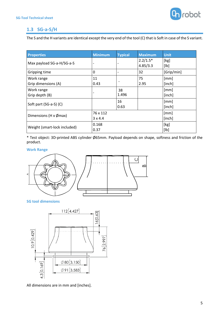

## **1.3 SG-a-S/H**

The S and the H variants are identical except the very end of the tool (C) that is Soft in case of the S variant.

| <b>Properties</b>                 | <b>Minimum</b>             | <b>Typical</b> | <b>Maximum</b>         | <b>Unit</b>    |
|-----------------------------------|----------------------------|----------------|------------------------|----------------|
| Max payload SG-a-H/SG-a-S         |                            |                | $2.2/1.5*$<br>4.85/3.3 | [kg]<br>[Ib]   |
| Gripping time                     | 0                          | -              | 32                     | [Grip/min]     |
| Work range<br>Grip dimensions (A) | 11<br>0.43                 |                | 75<br>2.95             | [mm]<br>[inch] |
| Work range<br>Grip depth (B)      | $\overline{\phantom{a}}$   | 38<br>1.496    |                        | [mm]<br>[inch] |
| Soft part (SG-a-S) (C)            |                            | 16<br>0.63     |                        | [mm]<br>[inch] |
| Dimensions (H $\times$ Ømax)      | 76 x 112<br>$3 \times 4.4$ |                |                        | [mm]<br>[inch] |
| Weight (smart-lock included)      | 0.168<br>0.37              |                |                        | [kg]<br>[lb]   |

\* Test object: 3D-printed ABS cylinder Ø65mm. Payload depends on shape, softness and friction of the product.

#### **Work Range**



**SG tool dimensions**



All dimensions are in mm and [inches].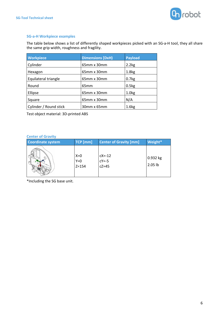

#### **SG-a-H Workpiece examples**

The table below shows a list of differently shaped workpieces picked with an SG-a-H tool, they all share the same grip width, roughness and fragility.

| <b>Workpiece</b>       | <b>Dimensions [DxH)</b> | <b>Payload</b>    |
|------------------------|-------------------------|-------------------|
| Cylinder               | 65mm x 30mm             | 2.2kg             |
| Hexagon                | 65mm x 30mm             | 1.8 <sub>kg</sub> |
| Equilateral triangle   | 65mm x 30mm             | 0.7kg             |
| Round                  | 65 <sub>mm</sub>        | 0.5kg             |
| Ellipse                | 65mm x 30mm             | 1.0 <sub>k</sub>  |
| Square                 | 65mm x 30mm             | N/A               |
| Cylinder / Round stick | 30mm x 65mm             | 1.6kg             |

Test object material: 3D-printed ABS

#### **Center of Gravity**

| <b>Coordinate system</b> | TCP [mm]                    | <b>Center of Gravity [mm]</b>        | Weight*             |
|--------------------------|-----------------------------|--------------------------------------|---------------------|
|                          | $X=0$<br>$Y=0$<br>$Z = 154$ | $cX = -12$<br>$cY = -5$<br>$cZ = 45$ | 0.932 kg<br>2.05 lb |

\*Including the SG base unit.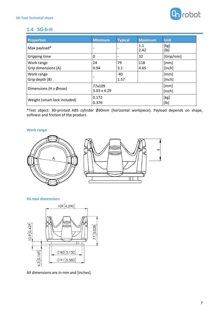

### **1.4 SG-b-H**

| <b>Properties</b>                 | <b>Minimum</b>               | <b>Typical</b> | <b>Maximum</b> | <b>Unit</b>    |
|-----------------------------------|------------------------------|----------------|----------------|----------------|
| Max payload*                      |                              |                | 1.1<br>2.42    | [kg]<br>[lb]   |
| Gripping time                     | 0                            |                | 32             | [Grip/min]     |
| Work range<br>Grip dimensions (A) | 24<br>0.94                   | 79<br>3.1      | 118<br>4.65    | [mm]<br>[inch] |
| Work range<br>Grip depth (B)      |                              | 40<br>1.57     |                | [mm]<br>[inch] |
| Dimensions (H $\times$ Ømax)      | 77x109<br>$3.03 \times 4.29$ |                |                | [mm]<br>[inch] |
| Weight (smart lock included)      | 0.172<br>0.379               |                |                | [kg]<br>[lb]   |

\*Test object: 3D-printed ABS cylinder Ø30mm (horizontal workpiece). Payload depends on shape, softness and friction of the product.

#### **Work range**



#### **SG tool dimensions**



All dimensions are in mm and [inches].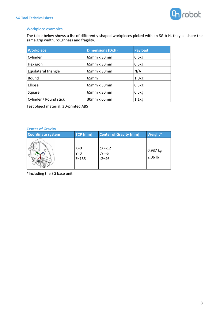

#### **Workpiece examples**

The table below shows a list of differently shaped workpieces picked with an SG-b-H, they all share the same grip width, roughness and fragility.

| <b>Workpiece</b>       | <b>Dimensions (DxH)</b> | <b>Payload</b>    |
|------------------------|-------------------------|-------------------|
| Cylinder               | 65mm x 30mm             | 0.6kg             |
| Hexagon                | $65$ mm x 30mm          | 0.5kg             |
| Equilateral triangle   | 65mm x 30mm             | N/A               |
| Round                  | 65 <sub>mm</sub>        | 1.0 <sub>kg</sub> |
| Ellipse                | 65mm x 30mm             | 0.3kg             |
| Square                 | 65mm x 30mm             | 0.5kg             |
| Cylinder / Round stick | 30mm x 65mm             | 1.1 <sub>kg</sub> |

Test object material: 3D-printed ABS

#### **Center of Gravity**

| <b>Coordinate system</b> | TCP [mm]                  | <b>Center of Gravity [mm]</b>        | Weight*             |
|--------------------------|---------------------------|--------------------------------------|---------------------|
|                          | $X=0$<br>$Y=0$<br>$Z=155$ | $cX = -12$<br>$cY = -5$<br>$cZ = 46$ | 0.937 kg<br>2.06 lb |

\*Including the SG base unit.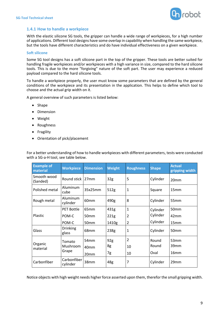

#### **1.4.1 How to handle a workpiece**

With the elastic silicone SG tools, the gripper can handle a wide range of workpieces, for a high number of applications. Different tool designs have some overlap in capability when handling the same workpiece, but the tools have different characteristics and do have individual effectiveness on a given workpiece.

#### **Soft silicone**

Some SG tool designs has a soft silicone part in the top of the gripper. These tools are better suited for handling fragile workpieces and/or workpieces with a high variance in size, compared to the hard silicone tools. This is due to the more "forgiving" nature of the soft part. The user may experience a reduced payload compared to the hard silicone tools.

To handle a workpiece properly, the user must know some parameters that are defined by the general conditions of the workpiece and its presentation in the application. This helps to define which tool to choose and the actual grip width on it.

A general overview of such parameters is listed below:

- Shape
- Dimension
- Weight
- Roughness
- Fragility
- Orientation of pick/placement

| <b>Example of</b><br>material | <b>Workpiece</b>         | <b>Dimension</b> | <b>Weight</b>   | <b>Roughness</b> | <b>Shape</b> | <b>Actual</b><br>gripping width |
|-------------------------------|--------------------------|------------------|-----------------|------------------|--------------|---------------------------------|
| Smooth wood<br>(Sanded)       | Round stick   27mm       |                  | 32 <sub>g</sub> | 5                | Cylinder     | 20mm                            |
| Polished metal                | Aluminum<br>cube         | 35x25mm          | 512g            | $\mathbf{1}$     | Square       | 15 <sub>mm</sub>                |
| Rough metal                   | Aluminum<br>cylinder     | 60 <sub>mm</sub> | 490g            | 8                | Cylinder     | 55 <sub>mm</sub>                |
|                               | <b>PET Bottle</b>        | 65 <sub>mm</sub> | 431g            | $\mathbf{1}$     | Cylinder     | 50 <sub>mm</sub>                |
| <b>Plastic</b>                | POM-C                    | 50 <sub>mm</sub> | 221g            | $\overline{c}$   | Cylinder     | 42 <sub>mm</sub>                |
|                               | POM-C                    | 50mm             | 1410g           | $\overline{2}$   | Cylinder     | 15 <sub>mm</sub>                |
| Glass                         | <b>Drinking</b><br>glass | 68mm             | 238g            | $\mathbf{1}$     | Cylinder     | 50mm                            |
|                               | Tomato                   | 54mm             | 92 <sub>g</sub> | $\overline{2}$   | Round        | 53mm                            |
| Organic<br>material           | Mushroom                 | 40 <sub>mm</sub> | 8g              | 10               | Round        | 39 <sub>mm</sub>                |
|                               | Grape                    | 20mm             | 7g              | 10               | Oval         | 16 <sub>mm</sub>                |
| Carbonfiber                   | Carbonfiber<br>cylinder  | 38mm             | 48 <sub>g</sub> | 7                | Cylinder     | 29mm                            |

For a better understanding of how to handle workpieces with different parameters, tests were conducted with a SG-a-H tool, see table below.

Notice objects with high weight needs higher force asserted upon them, therefor the small gripping width.